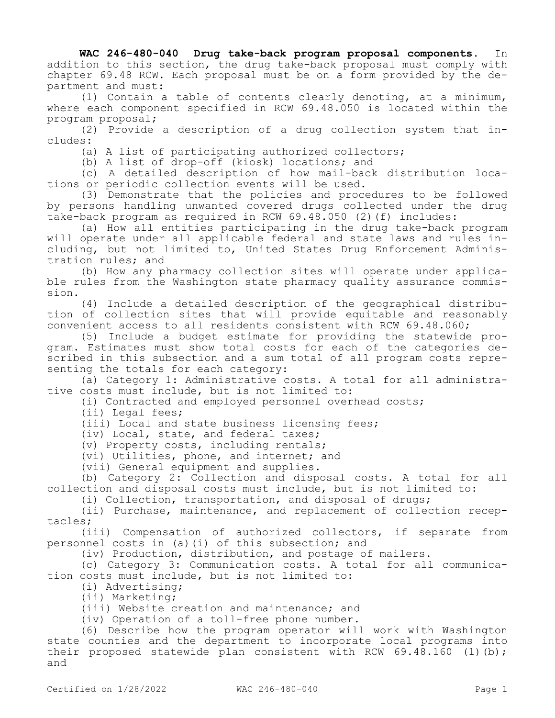## **WAC 246-480-040 Drug take-back program proposal components.** In addition to this section, the drug take-back proposal must comply with chapter 69.48 RCW. Each proposal must be on a form provided by the department and must:

(1) Contain a table of contents clearly denoting, at a minimum, where each component specified in RCW 69.48.050 is located within the program proposal;

(2) Provide a description of a drug collection system that includes:

(a) A list of participating authorized collectors;

(b) A list of drop-off (kiosk) locations; and

(c) A detailed description of how mail-back distribution locations or periodic collection events will be used.

(3) Demonstrate that the policies and procedures to be followed by persons handling unwanted covered drugs collected under the drug take-back program as required in RCW 69.48.050 (2)(f) includes:

(a) How all entities participating in the drug take-back program will operate under all applicable federal and state laws and rules including, but not limited to, United States Drug Enforcement Administration rules; and

(b) How any pharmacy collection sites will operate under applicable rules from the Washington state pharmacy quality assurance commission.

(4) Include a detailed description of the geographical distribution of collection sites that will provide equitable and reasonably convenient access to all residents consistent with RCW 69.48.060;

(5) Include a budget estimate for providing the statewide program. Estimates must show total costs for each of the categories described in this subsection and a sum total of all program costs representing the totals for each category:

(a) Category 1: Administrative costs. A total for all administrative costs must include, but is not limited to:

(i) Contracted and employed personnel overhead costs;

(ii) Legal fees;

(iii) Local and state business licensing fees;

(iv) Local, state, and federal taxes;

(v) Property costs, including rentals;

(vi) Utilities, phone, and internet; and

(vii) General equipment and supplies.

(b) Category 2: Collection and disposal costs. A total for all collection and disposal costs must include, but is not limited to:

(i) Collection, transportation, and disposal of drugs;

(ii) Purchase, maintenance, and replacement of collection receptacles;

(iii) Compensation of authorized collectors, if separate from personnel costs in (a)(i) of this subsection; and

(iv) Production, distribution, and postage of mailers.

(c) Category 3: Communication costs. A total for all communication costs must include, but is not limited to:

(i) Advertising;

(ii) Marketing;

(iii) Website creation and maintenance; and

(iv) Operation of a toll-free phone number.

(6) Describe how the program operator will work with Washington state counties and the department to incorporate local programs into their proposed statewide plan consistent with RCW  $69.48.160$  (1)(b); and